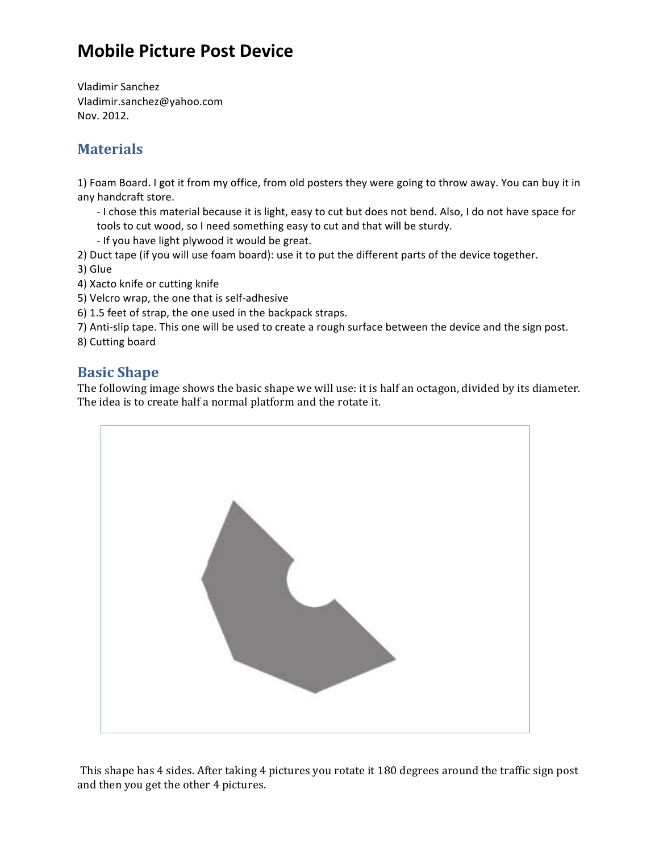# **Mobile Picture Post Device**

Vladimir Sanchez Vladimir.sanchez@yahoo.com Nov. 2012.

#### **Materials**

1) Foam Board. I got it from my office, from old posters they were going to throw away. You can buy it in any handcraft store.

- I chose this material because it is light, easy to cut but does not bend. Also, I do not have space for tools to cut wood, so I need something easy to cut and that will be sturdy.

- If you have light plywood it would be great.

2) Duct tape (if you will use foam board): use it to put the different parts of the device together.

3) Glue

- 4) Xacto knife or cutting knife
- 5) Velcro wrap, the one that is self-adhesive
- 6) 1.5 feet of strap, the one used in the backpack straps.

7) Anti-slip tape. This one will be used to create a rough surface between the device and the sign post.

8) Cutting board

#### **Basic Shape**

The following image shows the basic shape we will use: it is half an octagon, divided by its diameter. The idea is to create half a normal platform and the rotate it.



This shape has 4 sides. After taking 4 pictures you rotate it 180 degrees around the traffic sign post and then you get the other 4 pictures.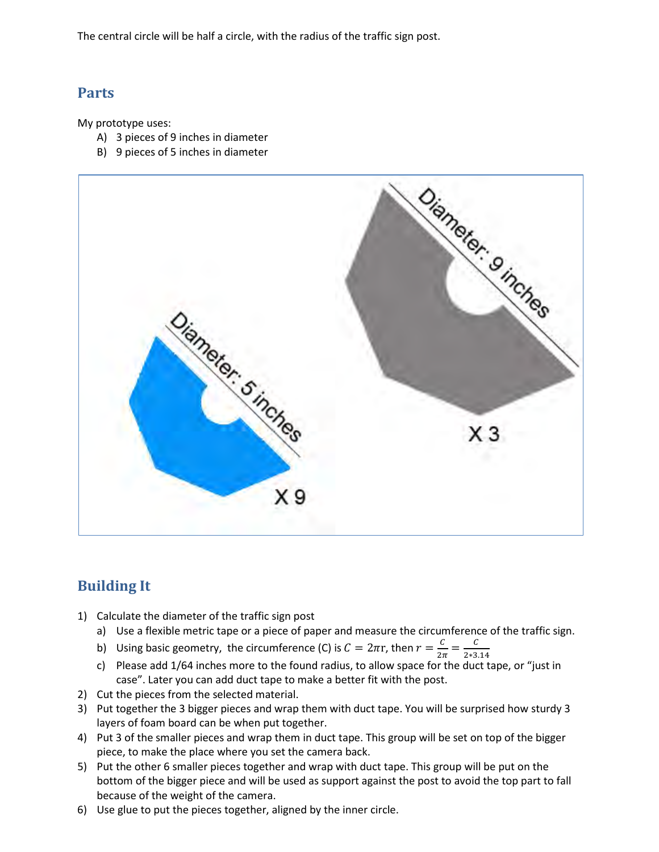The central circle will be half a circle, with the radius of the traffic sign post.

#### **Parts**

#### My prototype uses:

- A) 3 pieces of 9 inches in diameter
- B) 9 pieces of 5 inches in diameter



## **Building It**

- 1) Calculate the diameter of the traffic sign post
	- a) Use a flexible metric tape or a piece of paper and measure the circumference of the traffic sign.
	- b) Using basic geometry, the circumference (C) is  $C = 2\pi r$ , then  $r = \frac{C}{2\pi} = \frac{C}{2*3.14}$
	- c) Please add 1/64 inches more to the found radius, to allow space for the duct tape, or "just in case". Later you can add duct tape to make a better fit with the post.
- 2) Cut the pieces from the selected material.
- 3) Put together the 3 bigger pieces and wrap them with duct tape. You will be surprised how sturdy 3 layers of foam board can be when put together.
- 4) Put 3 of the smaller pieces and wrap them in duct tape. This group will be set on top of the bigger piece, to make the place where you set the camera back.
- 5) Put the other 6 smaller pieces together and wrap with duct tape. This group will be put on the bottom of the bigger piece and will be used as support against the post to avoid the top part to fall because of the weight of the camera.
- 6) Use glue to put the pieces together, aligned by the inner circle.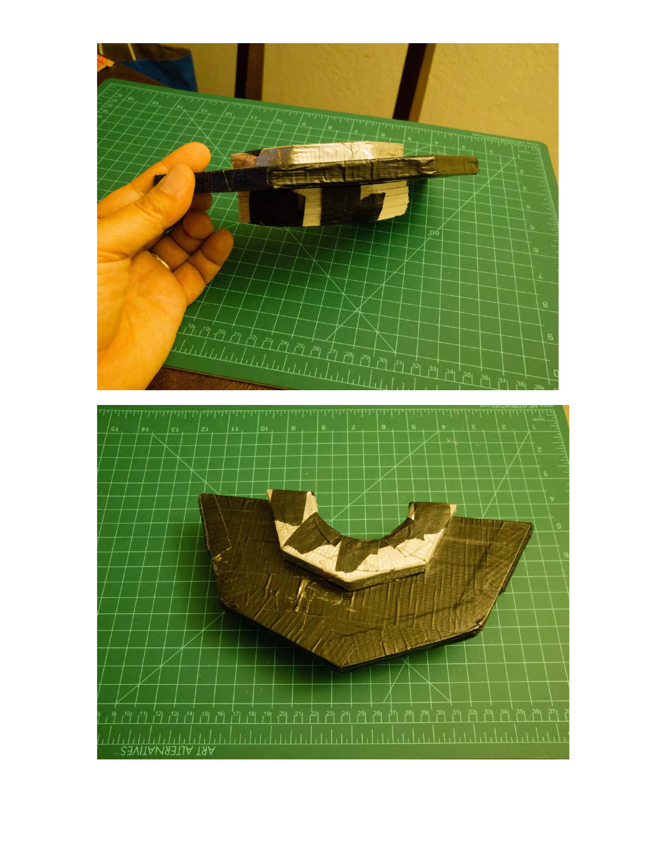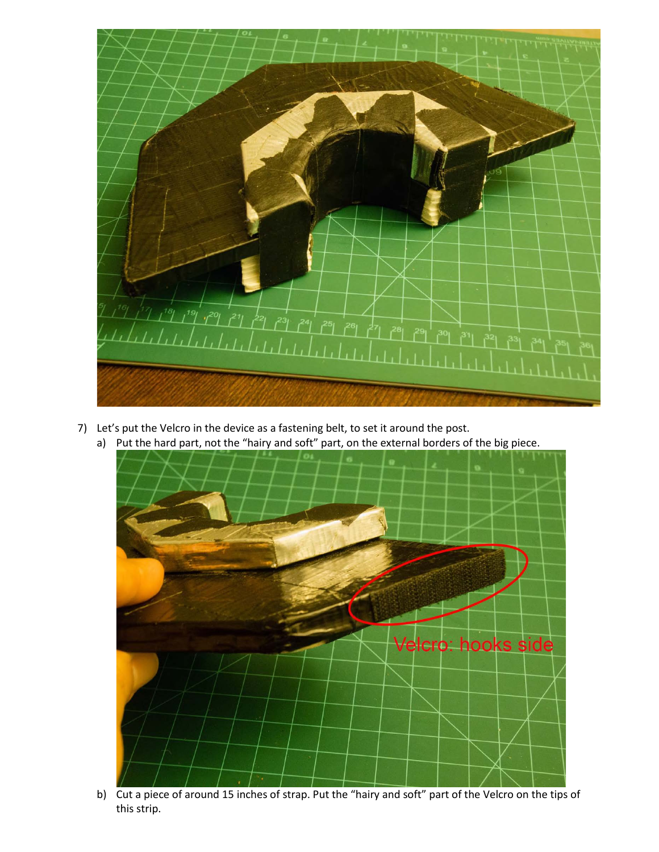

- 7) Let's put the Velcro in the device as a fastening belt, to set it around the post.
	- a) Put the hard part, not the "hairy and soft" part, on the external borders of the big piece.



b) Cut a piece of around 15 inches of strap. Put the "hairy and soft" part of the Velcro on the tips of this strip.